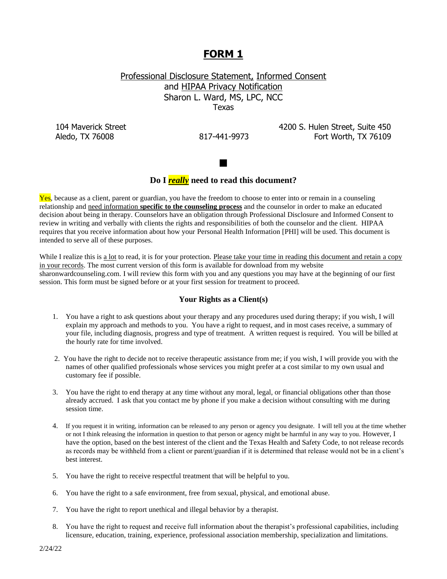# **FORM 1**

Professional Disclosure Statement, Informed Consent and HIPAA Privacy Notification Sharon L. Ward, MS, LPC, NCC Texas

104 Maverick Street **4200 S.** Hulen Street, Suite 450 Aledo, TX 76008 817-441-9973 Fort Worth, TX 76109



## **Do I** *really* **need to read this document?**

Yes, because as a client, parent or guardian, you have the freedom to choose to enter into or remain in a counseling relationship and need information **specific to the counseling process** and the counselor in order to make an educated decision about being in therapy. Counselors have an obligation through Professional Disclosure and Informed Consent to review in writing and verbally with clients the rights and responsibilities of both the counselor and the client. HIPAA requires that you receive information about how your Personal Health Information [PHI] will be used. This document is intended to serve all of these purposes.

While I realize this is a lot to read, it is for your protection. Please take your time in reading this document and retain a copy in your records. The most current version of this form is available for download from my website sharonwardcounseling.com. I will review this form with you and any questions you may have at the beginning of our first session. This form must be signed before or at your first session for treatment to proceed.

#### **Your Rights as a Client(s)**

- 1. You have a right to ask questions about your therapy and any procedures used during therapy; if you wish, I will explain my approach and methods to you. You have a right to request, and in most cases receive, a summary of your file, including diagnosis, progress and type of treatment. A written request is required. You will be billed at the hourly rate for time involved.
- 2. You have the right to decide not to receive therapeutic assistance from me; if you wish, I will provide you with the names of other qualified professionals whose services you might prefer at a cost similar to my own usual and customary fee if possible.
- 3. You have the right to end therapy at any time without any moral, legal, or financial obligations other than those already accrued. I ask that you contact me by phone if you make a decision without consulting with me during session time.
- 4. If you request it in writing, information can be released to any person or agency you designate. I will tell you at the time whether or not I think releasing the information in question to that person or agency might be harmful in any way to you. However, I have the option, based on the best interest of the client and the Texas Health and Safety Code, to not release records as records may be withheld from a client or parent/guardian if it is determined that release would not be in a client's best interest.
- 5. You have the right to receive respectful treatment that will be helpful to you.
- 6. You have the right to a safe environment, free from sexual, physical, and emotional abuse.
- 7. You have the right to report unethical and illegal behavior by a therapist.
- 8. You have the right to request and receive full information about the therapist's professional capabilities, including licensure, education, training, experience, professional association membership, specialization and limitations.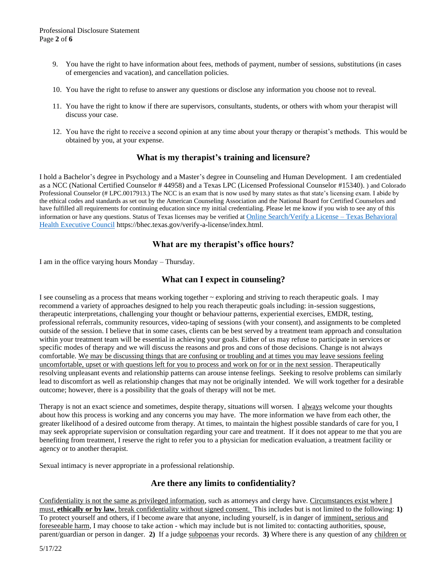- 9. You have the right to have information about fees, methods of payment, number of sessions, substitutions (in cases of emergencies and vacation), and cancellation policies.
- 10. You have the right to refuse to answer any questions or disclose any information you choose not to reveal.
- 11. You have the right to know if there are supervisors, consultants, students, or others with whom your therapist will discuss your case.
- 12. You have the right to receive a second opinion at any time about your therapy or therapist's methods. This would be obtained by you, at your expense.

## **What is my therapist's training and licensure?**

I hold a Bachelor's degree in Psychology and a Master's degree in Counseling and Human Development. I am credentialed as a NCC (National Certified Counselor # 44958) and a Texas LPC (Licensed Professional Counselor #15340). ) and Colorado Professional Counselor (# LPC.0017913.) The NCC is an exam that is now used by many states as that state's licensing exam. I abide by the ethical codes and standards as set out by the American Counseling Association and the National Board for Certified Counselors and have fulfilled all requirements for continuing education since my initial credentialing. Please let me know if you wish to see any of this information or have any questions. Status of Texas licenses may be verified at **[Online Search/Verify a License –](https://bhec.texas.gov/verify-a-license/index.html) Texas Behavioral** [Health Executive Council](https://bhec.texas.gov/verify-a-license/index.html) https://bhec.texas.gov/verify-a-license/index.html.

## **What are my therapist's office hours?**

I am in the office varying hours Monday – Thursday.

## **What can I expect in counseling?**

I see counseling as a process that means working together  $\sim$  exploring and striving to reach therapeutic goals. I may recommend a variety of approaches designed to help you reach therapeutic goals including: in-session suggestions, therapeutic interpretations, challenging your thought or behaviour patterns, experiential exercises, EMDR, testing, professional referrals, community resources, video-taping of sessions (with your consent), and assignments to be completed outside of the session. I believe that in some cases, clients can be best served by a treatment team approach and consultation within your treatment team will be essential in achieving your goals. Either of us may refuse to participate in services or specific modes of therapy and we will discuss the reasons and pros and cons of those decisions. Change is not always comfortable. We may be discussing things that are confusing or troubling and at times you may leave sessions feeling uncomfortable, upset or with questions left for you to process and work on for or in the next session. Therapeutically resolving unpleasant events and relationship patterns can arouse intense feelings. Seeking to resolve problems can similarly lead to discomfort as well as relationship changes that may not be originally intended. We will work together for a desirable outcome; however, there is a possibility that the goals of therapy will not be met.

Therapy is not an exact science and sometimes, despite therapy, situations will worsen. I always welcome your thoughts about how this process is working and any concerns you may have. The more information we have from each other, the greater likelihood of a desired outcome from therapy. At times, to maintain the highest possible standards of care for you, I may seek appropriate supervision or consultation regarding your care and treatment. If it does not appear to me that you are benefiting from treatment, I reserve the right to refer you to a physician for medication evaluation, a treatment facility or agency or to another therapist.

Sexual intimacy is never appropriate in a professional relationship.

#### **Are there any limits to confidentiality?**

Confidentiality is not the same as privileged information, such as attorneys and clergy have. Circumstances exist where I must, **ethically or by law**, break confidentiality without signed consent. This includes but is not limited to the following: **1)**  To protect yourself and others, if I become aware that anyone, including yourself, is in danger of imminent, serious and foreseeable harm, I may choose to take action - which may include but is not limited to: contacting authorities, spouse, parent/guardian or person in danger. **2)** If a judge subpoenas your records. **3)** Where there is any question of any children or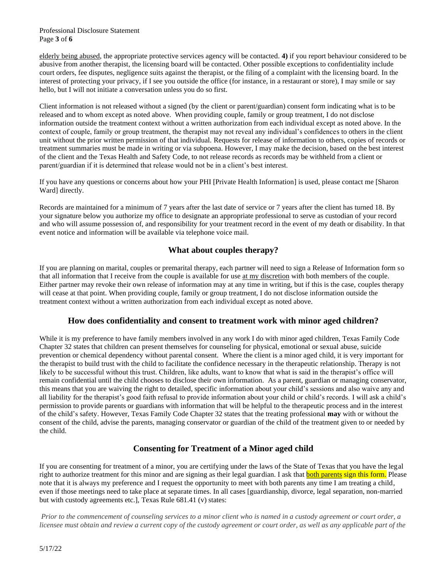Professional Disclosure Statement Page **3** of **6**

elderly being abused, the appropriate protective services agency will be contacted. **4)** if you report behaviour considered to be abusive from another therapist, the licensing board will be contacted. Other possible exceptions to confidentiality include court orders, fee disputes, negligence suits against the therapist, or the filing of a complaint with the licensing board. In the interest of protecting your privacy, if I see you outside the office (for instance, in a restaurant or store), I may smile or say hello, but I will not initiate a conversation unless you do so first.

Client information is not released without a signed (by the client or parent/guardian) consent form indicating what is to be released and to whom except as noted above. When providing couple, family or group treatment, I do not disclose information outside the treatment context without a written authorization from each individual except as noted above. In the context of couple, family or group treatment, the therapist may not reveal any individual's confidences to others in the client unit without the prior written permission of that individual. Requests for release of information to others, copies of records or treatment summaries must be made in writing or via subpoena. However, I may make the decision, based on the best interest of the client and the Texas Health and Safety Code, to not release records as records may be withheld from a client or parent/guardian if it is determined that release would not be in a client's best interest.

If you have any questions or concerns about how your PHI [Private Health Information] is used, please contact me [Sharon Ward] directly.

Records are maintained for a minimum of 7 years after the last date of service or 7 years after the client has turned 18. By your signature below you authorize my office to designate an appropriate professional to serve as custodian of your record and who will assume possession of, and responsibility for your treatment record in the event of my death or disability. In that event notice and information will be available via telephone voice mail.

## **What about couples therapy?**

If you are planning on marital, couples or premarital therapy, each partner will need to sign a Release of Information form so that all information that I receive from the couple is available for use at my discretion with both members of the couple. Either partner may revoke their own release of information may at any time in writing, but if this is the case, couples therapy will cease at that point. When providing couple, family or group treatment, I do not disclose information outside the treatment context without a written authorization from each individual except as noted above.

#### **How does confidentiality and consent to treatment work with minor aged children?**

While it is my preference to have family members involved in any work I do with minor aged children, Texas Family Code Chapter 32 states that children can present themselves for counseling for physical, emotional or sexual abuse, suicide prevention or chemical dependency without parental consent. Where the client is a minor aged child, it is very important for the therapist to build trust with the child to facilitate the confidence necessary in the therapeutic relationship. Therapy is not likely to be successful without this trust. Children, like adults, want to know that what is said in the therapist's office will remain confidential until the child chooses to disclose their own information. As a parent, guardian or managing conservator, this means that you are waiving the right to detailed, specific information about your child's sessions and also waive any and all liability for the therapist's good faith refusal to provide information about your child or child's records. I will ask a child's permission to provide parents or guardians with information that will be helpful to the therapeutic process and in the interest of the child's safety. However, Texas Family Code Chapter 32 states that the treating professional **may** with or without the consent of the child, advise the parents, managing conservator or guardian of the child of the treatment given to or needed by the child.

## **Consenting for Treatment of a Minor aged child**

If you are consenting for treatment of a minor, you are certifying under the laws of the State of Texas that you have the legal right to authorize treatment for this minor and are signing as their legal guardian. I ask that **both parents sign this form.** Please note that it is always my preference and I request the opportunity to meet with both parents any time I am treating a child, even if those meetings need to take place at separate times. In all cases [guardianship, divorce, legal separation, non-married but with custody agreements etc.], Texas Rule 681.41 (v) states:

*Prior to the commencement of counseling services to a minor client who is named in a custody agreement or court order, a licensee must obtain and review a current copy of the custody agreement or court order, as well as any applicable part of the*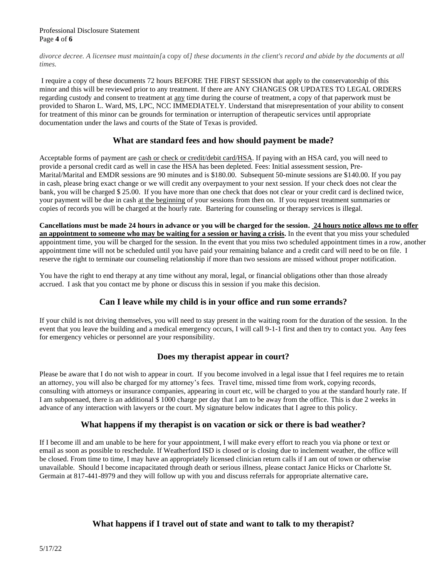Professional Disclosure Statement Page **4** of **6**

*divorce decree. A licensee must maintain[*a copy of*] these documents in the client's record and abide by the documents at all times.* 

I require a copy of these documents 72 hours BEFORE THE FIRST SESSION that apply to the conservatorship of this minor and this will be reviewed prior to any treatment. If there are ANY CHANGES OR UPDATES TO LEGAL ORDERS regarding custody and consent to treatment at any time during the course of treatment, a copy of that paperwork must be provided to Sharon L. Ward, MS, LPC, NCC IMMEDIATELY. Understand that misrepresentation of your ability to consent for treatment of this minor can be grounds for termination or interruption of therapeutic services until appropriate documentation under the laws and courts of the State of Texas is provided.

## **What are standard fees and how should payment be made?**

Acceptable forms of payment are cash or check or credit/debit card/HSA. If paying with an HSA card, you will need to provide a personal credit card as well in case the HSA has been depleted. Fees: Initial assessment session, Pre-Marital/Marital and EMDR sessions are 90 minutes and is \$180.00. Subsequent 50-minute sessions are \$140.00. If you pay in cash, please bring exact change or we will credit any overpayment to your next session. If your check does not clear the bank, you will be charged \$ 25.00. If you have more than one check that does not clear or your credit card is declined twice, your payment will be due in cash at the beginning of your sessions from then on. If you request treatment summaries or copies of records you will be charged at the hourly rate. Bartering for counseling or therapy services is illegal.

**Cancellations must be made 24 hours in advance or you will be charged for the session. 24 hours notice allows me to offer an appointment to someone who may be waiting for a session or having a crisis.** In the event that you miss your scheduled appointment time, you will be charged for the session. In the event that you miss two scheduled appointment times in a row, another appointment time will not be scheduled until you have paid your remaining balance and a credit card will need to be on file. I reserve the right to terminate our counseling relationship if more than two sessions are missed without proper notification.

You have the right to end therapy at any time without any moral, legal, or financial obligations other than those already accrued. I ask that you contact me by phone or discuss this in session if you make this decision.

## **Can I leave while my child is in your office and run some errands?**

If your child is not driving themselves, you will need to stay present in the waiting room for the duration of the session. In the event that you leave the building and a medical emergency occurs, I will call 9-1-1 first and then try to contact you. Any fees for emergency vehicles or personnel are your responsibility.

#### **Does my therapist appear in court?**

Please be aware that I do not wish to appear in court. If you become involved in a legal issue that I feel requires me to retain an attorney, you will also be charged for my attorney's fees. Travel time, missed time from work, copying records, consulting with attorneys or insurance companies, appearing in court etc, will be charged to you at the standard hourly rate. If I am subpoenaed, there is an additional \$ 1000 charge per day that I am to be away from the office. This is due 2 weeks in advance of any interaction with lawyers or the court. My signature below indicates that I agree to this policy.

#### **What happens if my therapist is on vacation or sick or there is bad weather?**

If I become ill and am unable to be here for your appointment, I will make every effort to reach you via phone or text or email as soon as possible to reschedule. If Weatherford ISD is closed or is closing due to inclement weather, the office will be closed. From time to time, I may have an appropriately licensed clinician return calls if I am out of town or otherwise unavailable. Should I become incapacitated through death or serious illness, please contact Janice Hicks or Charlotte St. Germain at 817-441-8979 and they will follow up with you and discuss referrals for appropriate alternative care**.**

## **What happens if I travel out of state and want to talk to my therapist?**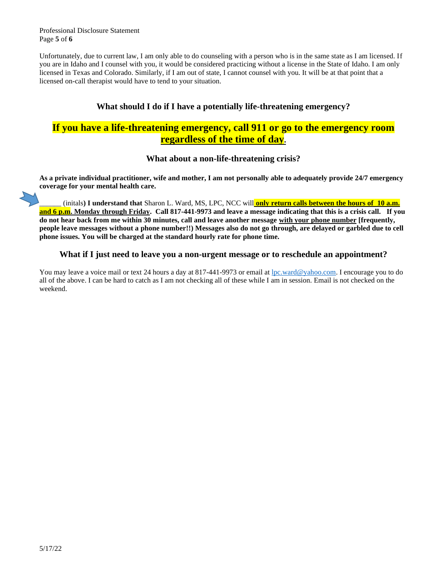Professional Disclosure Statement Page **5** of **6**

Unfortunately, due to current law, I am only able to do counseling with a person who is in the same state as I am licensed. If you are in Idaho and I counsel with you, it would be considered practicing without a license in the State of Idaho. I am only licensed in Texas and Colorado. Similarly, if I am out of state, I cannot counsel with you. It will be at that point that a licensed on-call therapist would have to tend to your situation.

## **What should I do if I have a potentially life-threatening emergency?**

## **If you have a life-threatening emergency, call 911 or go to the emergency room regardless of the time of day.**

## **What about a non-life-threatening crisis?**

**As a private individual practitioner, wife and mother, I am not personally able to adequately provide 24/7 emergency coverage for your mental health care.** 

\_\_\_\_\_\_ (initals**) I understand that** Sharon L. Ward, MS, LPC, NCC will **only return calls between the hours of 10 a.m. and 6 p.m. Monday through Friday. Call 817-441-9973 and leave a message indicating that this is a crisis call. If you do not hear back from me within 30 minutes, call and leave another message with your phone number [frequently, people leave messages without a phone number!!) Messages also do not go through, are delayed or garbled due to cell phone issues. You will be charged at the standard hourly rate for phone time.**

#### **What if I just need to leave you a non-urgent message or to reschedule an appointment?**

You may leave a voice mail or text 24 hours a day at 817-441-9973 or email at [lpc.ward@yahoo.com.](mailto:lpc.ward@yahoo.com) I encourage you to do all of the above. I can be hard to catch as I am not checking all of these while I am in session. Email is not checked on the weekend.